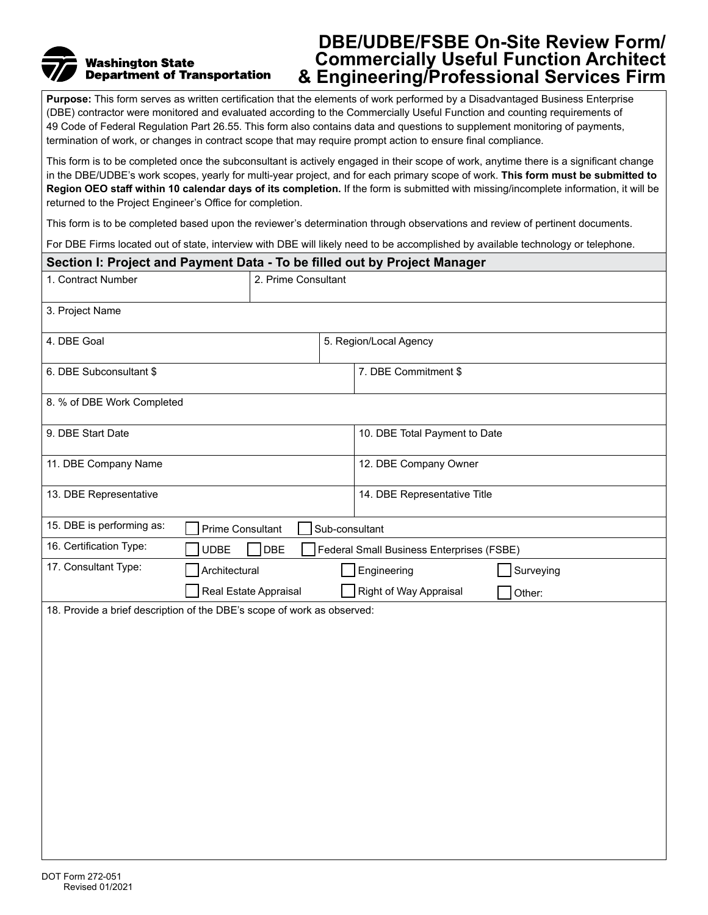# **Washington State Department of Transportation**

# **DBE/UDBE/FSBE On-Site Review Form/ Commercially Useful Function Architect & Engineering/Professional Services Firm**

**Purpose:** This form serves as written certification that the elements of work performed by a Disadvantaged Business Enterprise (DBE) contractor were monitored and evaluated according to the Commercially Useful Function and counting requirements of 49 Code of Federal Regulation Part 26.55. This form also contains data and questions to supplement monitoring of payments, termination of work, or changes in contract scope that may require prompt action to ensure final compliance.

This form is to be completed once the subconsultant is actively engaged in their scope of work, anytime there is a significant change in the DBE/UDBE's work scopes, yearly for multi-year project, and for each primary scope of work. **This form must be submitted to Region OEO staff within 10 calendar days of its completion.** If the form is submitted with missing/incomplete information, it will be returned to the Project Engineer's Office for completion.

This form is to be completed based upon the reviewer's determination through observations and review of pertinent documents.

For DBE Firms located out of state, interview with DBE will likely need to be accomplished by available technology or telephone.

| Section I: Project and Payment Data - To be filled out by Project Manager |                                                                         |                |                                           |  |
|---------------------------------------------------------------------------|-------------------------------------------------------------------------|----------------|-------------------------------------------|--|
| 1. Contract Number                                                        | 2. Prime Consultant                                                     |                |                                           |  |
| 3. Project Name                                                           |                                                                         |                |                                           |  |
| 4. DBE Goal                                                               |                                                                         |                | 5. Region/Local Agency                    |  |
| 6. DBE Subconsultant \$                                                   |                                                                         |                | 7. DBE Commitment \$                      |  |
| 8. % of DBE Work Completed                                                |                                                                         |                |                                           |  |
| 9. DBE Start Date                                                         |                                                                         |                | 10. DBE Total Payment to Date             |  |
| 11. DBE Company Name                                                      |                                                                         |                | 12. DBE Company Owner                     |  |
| 13. DBE Representative                                                    |                                                                         |                | 14. DBE Representative Title              |  |
| 15. DBE is performing as:                                                 | Prime Consultant                                                        | Sub-consultant |                                           |  |
| 16. Certification Type:                                                   | <b>UDBE</b><br>DBE                                                      |                | Federal Small Business Enterprises (FSBE) |  |
| 17. Consultant Type:                                                      | Architectural                                                           |                | Engineering<br>Surveying                  |  |
|                                                                           | Real Estate Appraisal                                                   |                | Right of Way Appraisal<br>Other:          |  |
|                                                                           | 18. Provide a brief description of the DBE's scope of work as observed: |                |                                           |  |
|                                                                           |                                                                         |                |                                           |  |
|                                                                           |                                                                         |                |                                           |  |
|                                                                           |                                                                         |                |                                           |  |
|                                                                           |                                                                         |                |                                           |  |
|                                                                           |                                                                         |                |                                           |  |
|                                                                           |                                                                         |                |                                           |  |
|                                                                           |                                                                         |                |                                           |  |
|                                                                           |                                                                         |                |                                           |  |
|                                                                           |                                                                         |                |                                           |  |
|                                                                           |                                                                         |                |                                           |  |
|                                                                           |                                                                         |                |                                           |  |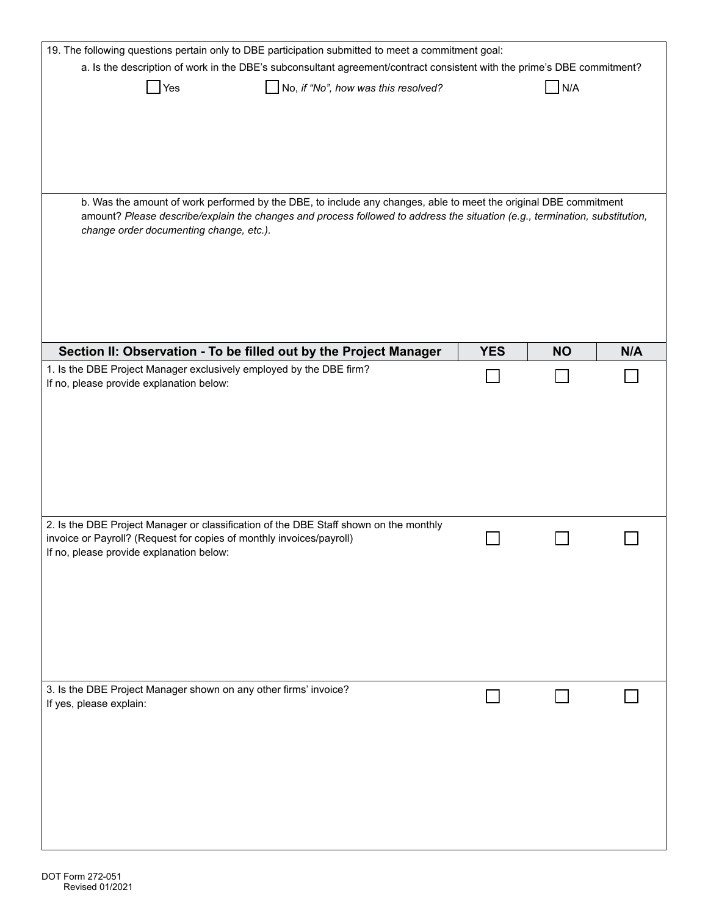| 19. The following questions pertain only to DBE participation submitted to meet a commitment goal:                                                                                                                                                                                         |            |           |     |
|--------------------------------------------------------------------------------------------------------------------------------------------------------------------------------------------------------------------------------------------------------------------------------------------|------------|-----------|-----|
| a. Is the description of work in the DBE's subconsultant agreement/contract consistent with the prime's DBE commitment?                                                                                                                                                                    |            |           |     |
| No, if "No", how was this resolved?<br>Yes                                                                                                                                                                                                                                                 |            | N/A       |     |
| b. Was the amount of work performed by the DBE, to include any changes, able to meet the original DBE commitment<br>amount? Please describe/explain the changes and process followed to address the situation (e.g., termination, substitution,<br>change order documenting change, etc.). |            |           |     |
| Section II: Observation - To be filled out by the Project Manager<br>1. Is the DBE Project Manager exclusively employed by the DBE firm?                                                                                                                                                   | <b>YES</b> | <b>NO</b> | N/A |
| If no, please provide explanation below:                                                                                                                                                                                                                                                   |            |           |     |
| 2. Is the DBE Project Manager or classification of the DBE Staff shown on the monthly<br>invoice or Payroll? (Request for copies of monthly invoices/payroll)<br>If no, please provide explanation below:                                                                                  |            |           |     |
| 3. Is the DBE Project Manager shown on any other firms' invoice?<br>If yes, please explain:                                                                                                                                                                                                |            |           |     |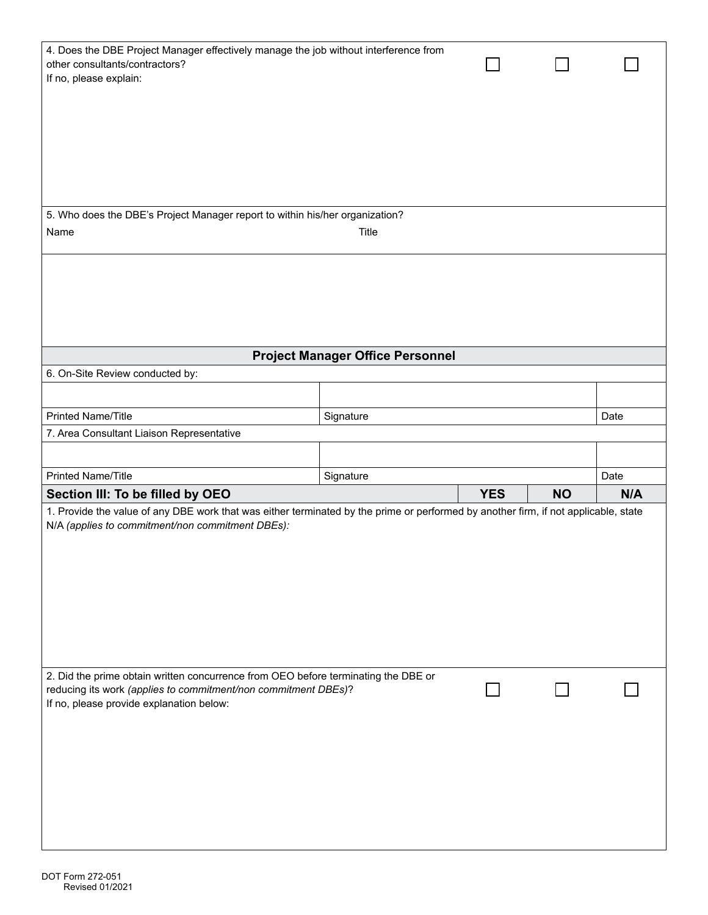| 4. Does the DBE Project Manager effectively manage the job without interference from<br>other consultants/contractors?<br>If no, please explain:                                                 |                                         |            |           |      |
|--------------------------------------------------------------------------------------------------------------------------------------------------------------------------------------------------|-----------------------------------------|------------|-----------|------|
| 5. Who does the DBE's Project Manager report to within his/her organization?                                                                                                                     |                                         |            |           |      |
| Name                                                                                                                                                                                             | Title                                   |            |           |      |
|                                                                                                                                                                                                  |                                         |            |           |      |
| 6. On-Site Review conducted by:                                                                                                                                                                  | <b>Project Manager Office Personnel</b> |            |           |      |
|                                                                                                                                                                                                  |                                         |            |           |      |
| <b>Printed Name/Title</b>                                                                                                                                                                        | Signature                               |            |           | Date |
| 7. Area Consultant Liaison Representative                                                                                                                                                        |                                         |            |           |      |
|                                                                                                                                                                                                  |                                         |            |           |      |
| <b>Printed Name/Title</b>                                                                                                                                                                        | Signature                               |            |           | Date |
| Section III: To be filled by OEO                                                                                                                                                                 |                                         | <b>YES</b> | <b>NO</b> | N/A  |
| 1. Provide the value of any DBE work that was either terminated by the prime or performed by another firm, if not applicable, state<br>N/A (applies to commitment/non commitment DBEs):          |                                         |            |           |      |
| 2. Did the prime obtain written concurrence from OEO before terminating the DBE or<br>reducing its work (applies to commitment/non commitment DBEs)?<br>If no, please provide explanation below: |                                         |            |           |      |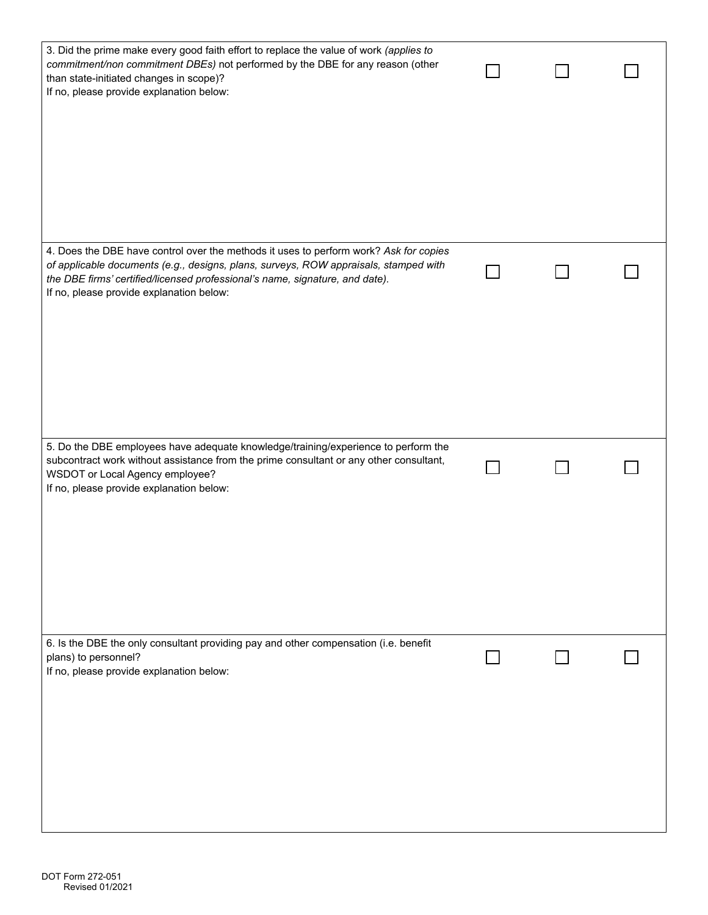| 3. Did the prime make every good faith effort to replace the value of work (applies to<br>commitment/non commitment DBEs) not performed by the DBE for any reason (other<br>than state-initiated changes in scope)?<br>If no, please provide explanation below:                                           |  |  |
|-----------------------------------------------------------------------------------------------------------------------------------------------------------------------------------------------------------------------------------------------------------------------------------------------------------|--|--|
| 4. Does the DBE have control over the methods it uses to perform work? Ask for copies<br>of applicable documents (e.g., designs, plans, surveys, ROW appraisals, stamped with<br>the DBE firms' certified/licensed professional's name, signature, and date).<br>If no, please provide explanation below: |  |  |
| 5. Do the DBE employees have adequate knowledge/training/experience to perform the<br>subcontract work without assistance from the prime consultant or any other consultant,<br>WSDOT or Local Agency employee?<br>If no, please provide explanation below:                                               |  |  |
| 6. Is the DBE the only consultant providing pay and other compensation (i.e. benefit<br>plans) to personnel?<br>If no, please provide explanation below:                                                                                                                                                  |  |  |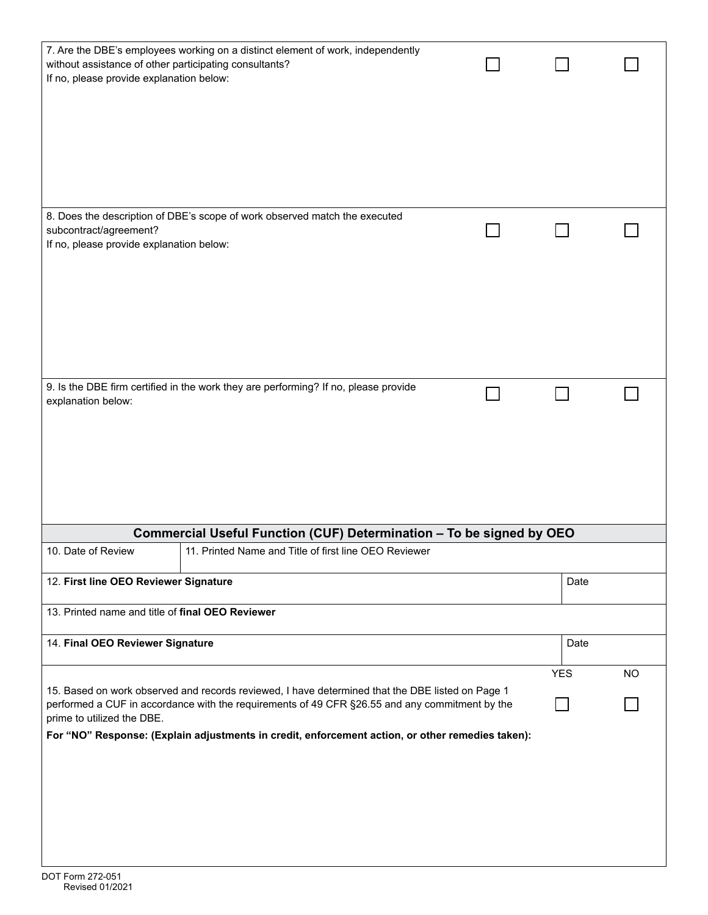| without assistance of other participating consultants?<br>If no, please provide explanation below: | 7. Are the DBE's employees working on a distinct element of work, independently                                                                                                                                                                                                                        |            |           |
|----------------------------------------------------------------------------------------------------|--------------------------------------------------------------------------------------------------------------------------------------------------------------------------------------------------------------------------------------------------------------------------------------------------------|------------|-----------|
| subcontract/agreement?                                                                             | 8. Does the description of DBE's scope of work observed match the executed                                                                                                                                                                                                                             |            |           |
| If no, please provide explanation below:                                                           |                                                                                                                                                                                                                                                                                                        |            |           |
| explanation below:                                                                                 | 9. Is the DBE firm certified in the work they are performing? If no, please provide                                                                                                                                                                                                                    |            |           |
| 10. Date of Review                                                                                 | Commercial Useful Function (CUF) Determination - To be signed by OEO<br>11. Printed Name and Title of first line OEO Reviewer                                                                                                                                                                          |            |           |
|                                                                                                    |                                                                                                                                                                                                                                                                                                        |            |           |
| 12. First line OEO Reviewer Signature                                                              |                                                                                                                                                                                                                                                                                                        | Date       |           |
| 13. Printed name and title of final OEO Reviewer                                                   |                                                                                                                                                                                                                                                                                                        |            |           |
| 14. Final OEO Reviewer Signature                                                                   |                                                                                                                                                                                                                                                                                                        | Date       |           |
|                                                                                                    |                                                                                                                                                                                                                                                                                                        | <b>YES</b> | <b>NO</b> |
| prime to utilized the DBE.                                                                         | 15. Based on work observed and records reviewed, I have determined that the DBE listed on Page 1<br>performed a CUF in accordance with the requirements of 49 CFR §26.55 and any commitment by the<br>For "NO" Response: (Explain adjustments in credit, enforcement action, or other remedies taken): |            |           |
|                                                                                                    |                                                                                                                                                                                                                                                                                                        |            |           |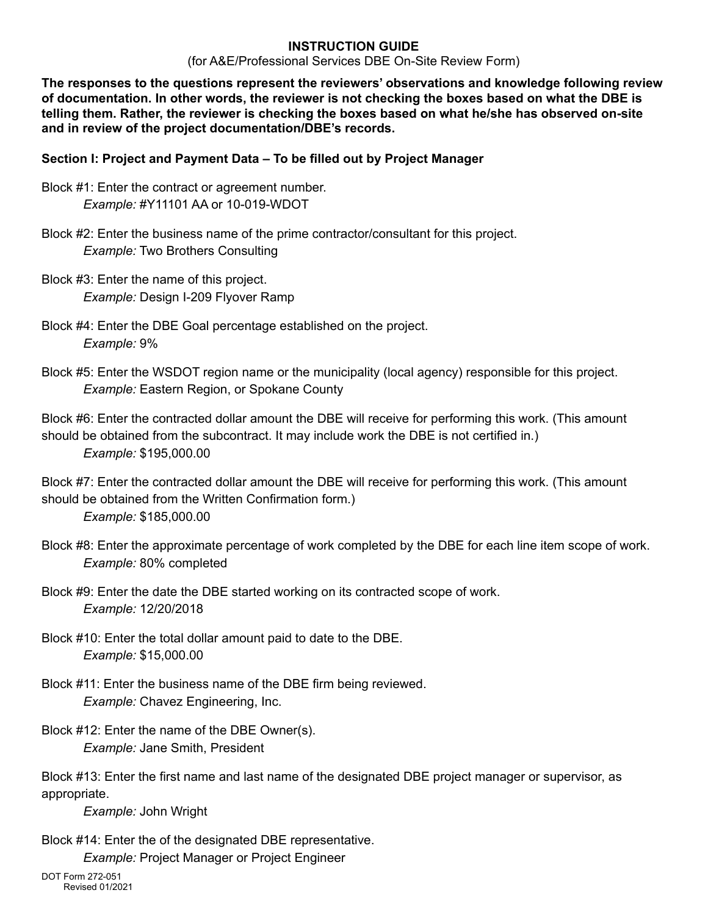#### **INSTRUCTION GUIDE**

(for A&E/Professional Services DBE On-Site Review Form)

**The responses to the questions represent the reviewers' observations and knowledge following review of documentation. In other words, the reviewer is not checking the boxes based on what the DBE is telling them. Rather, the reviewer is checking the boxes based on what he/she has observed on-site and in review of the project documentation/DBE's records.**

### **Section I: Project and Payment Data – To be filled out by Project Manager**

- Block #1: Enter the contract or agreement number. *Example:* #Y11101 AA or 10-019-WDOT
- Block #2: Enter the business name of the prime contractor/consultant for this project. *Example:* Two Brothers Consulting
- Block #3: Enter the name of this project. *Example:* Design I-209 Flyover Ramp
- Block #4: Enter the DBE Goal percentage established on the project. *Example:* 9%
- Block #5: Enter the WSDOT region name or the municipality (local agency) responsible for this project. *Example:* Eastern Region, or Spokane County

Block #6: Enter the contracted dollar amount the DBE will receive for performing this work. (This amount should be obtained from the subcontract. It may include work the DBE is not certified in.) *Example:* [\\$195,000.00](https://195,000.00)

Block #7: Enter the contracted dollar amount the DBE will receive for performing this work. (This amount should be obtained from the Written Confirmation form.)

*Example:* [\\$185,000.00](https://185,000.00)

- Block #8: Enter the approximate percentage of work completed by the DBE for each line item scope of work. *Example:* 80% completed
- Block #9: Enter the date the DBE started working on its contracted scope of work. *Example:* 12/20/2018
- Block #10: Enter the total dollar amount paid to date to the DBE. *Example:* [\\$15,000.00](https://15,000.00)
- Block #11: Enter the business name of the DBE firm being reviewed. *Example:* Chavez Engineering, Inc.
- Block #12: Enter the name of the DBE Owner(s). *Example:* Jane Smith, President

Block #13: Enter the first name and last name of the designated DBE project manager or supervisor, as appropriate.

*Example:* John Wright

Block #14: Enter the of the designated DBE representative.

*Example:* Project Manager or Project Engineer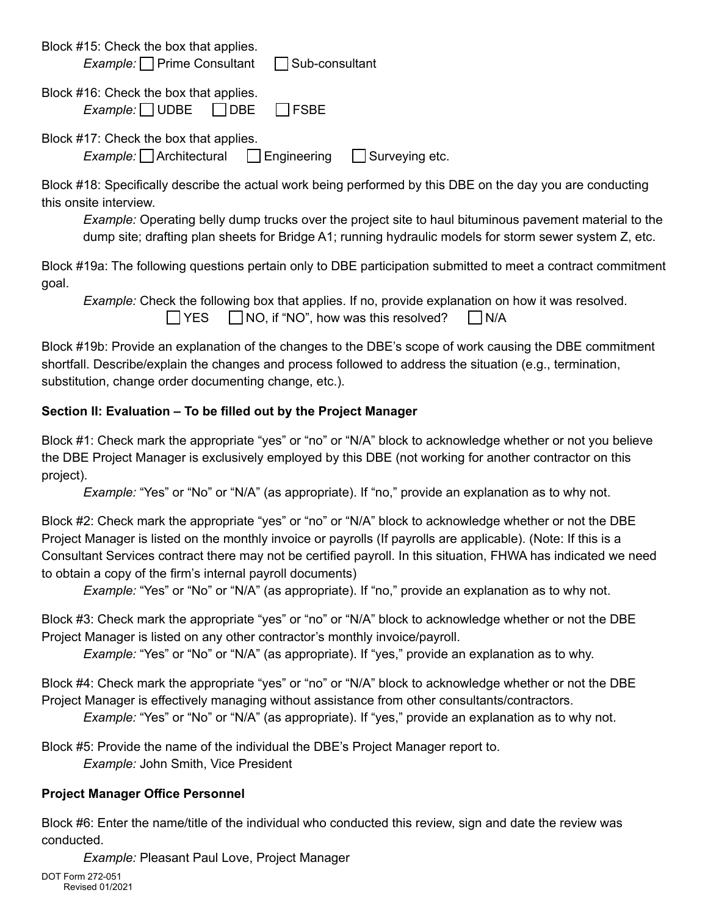| Block #15: Check the box that applies.<br><i>Example:</i> Prime Consultant <b>D</b> Sub-consultant |  |
|----------------------------------------------------------------------------------------------------|--|
| Block #16: Check the box that applies.<br>$Example: \square$ UDBE $ \square$ DBE $ \square$ FSBE   |  |
| Block #17: Check the box that applies.<br><i>Example:</i> Architectural Engineering Surveying etc. |  |

Block #18: Specifically describe the actual work being performed by this DBE on the day you are conducting this onsite interview.

*Example:* Operating belly dump trucks over the project site to haul bituminous pavement material to the dump site; drafting plan sheets for Bridge A1; running hydraulic models for storm sewer system Z, etc.

Block #19a: The following questions pertain only to DBE participation submitted to meet a contract commitment goal.

*Example:* Check the following box that applies. If no, provide explanation on how it was resolved.  $\Box$  YES  $\Box$  NO, if "NO", how was this resolved?  $\Box$  N/A

Block #19b: Provide an explanation of the changes to the DBE's scope of work causing the DBE commitment shortfall. Describe/explain the changes and process followed to address the situation (e.g., termination, substitution, change order documenting change, etc.).

### **Section II: Evaluation – To be filled out by the Project Manager**

Block #1: Check mark the appropriate "yes" or "no" or "N/A" block to acknowledge whether or not you believe the DBE Project Manager is exclusively employed by this DBE (not working for another contractor on this project).

*Example:* "Yes" or "No" or "N/A" (as appropriate). If "no," provide an explanation as to why not.

Block #2: Check mark the appropriate "yes" or "no" or "N/A" block to acknowledge whether or not the DBE Project Manager is listed on the monthly invoice or payrolls (If payrolls are applicable). (Note: If this is a Consultant Services contract there may not be certified payroll. In this situation, FHWA has indicated we need to obtain a copy of the firm's internal payroll documents)

*Example:* "Yes" or "No" or "N/A" (as appropriate). If "no," provide an explanation as to why not.

Block #3: Check mark the appropriate "yes" or "no" or "N/A" block to acknowledge whether or not the DBE Project Manager is listed on any other contractor's monthly invoice/payroll.

*Example:* "Yes" or "No" or "N/A" (as appropriate). If "yes," provide an explanation as to why.

Block #4: Check mark the appropriate "yes" or "no" or "N/A" block to acknowledge whether or not the DBE Project Manager is effectively managing without assistance from other consultants/contractors.

*Example:* "Yes" or "No" or "N/A" (as appropriate). If "yes," provide an explanation as to why not.

Block #5: Provide the name of the individual the DBE's Project Manager report to. *Example:* John Smith, Vice President

# **Project Manager Office Personnel**

Block #6: Enter the name/title of the individual who conducted this review, sign and date the review was conducted.

*Example:* Pleasant Paul Love, Project Manager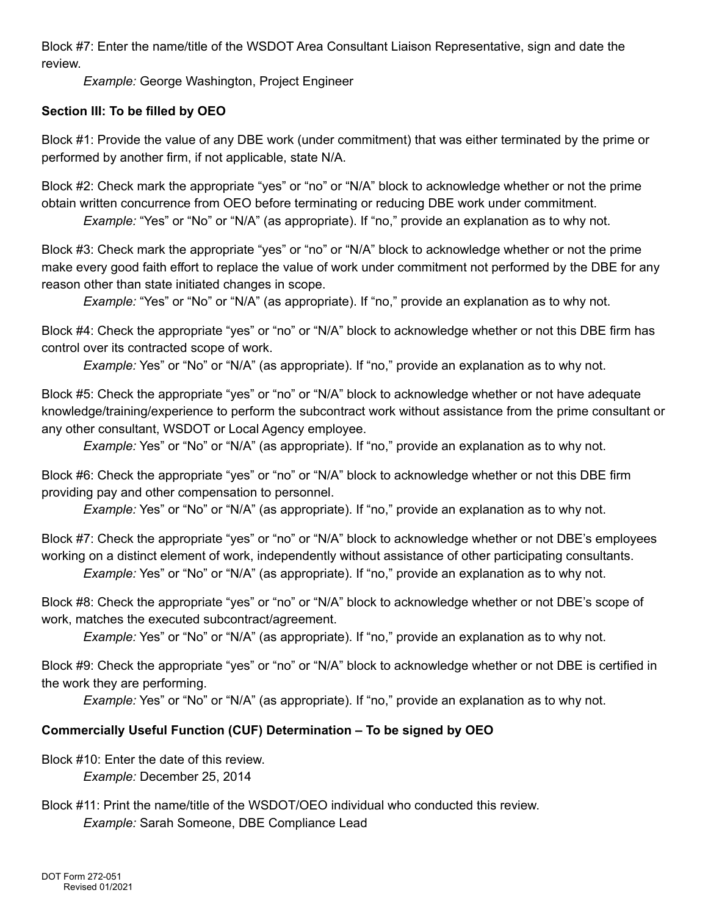Block #7: Enter the name/title of the WSDOT Area Consultant Liaison Representative, sign and date the review.

*Example:* George Washington, Project Engineer

# **Section III: To be filled by OEO**

Block #1: Provide the value of any DBE work (under commitment) that was either terminated by the prime or performed by another firm, if not applicable, state N/A.

Block #2: Check mark the appropriate "yes" or "no" or "N/A" block to acknowledge whether or not the prime obtain written concurrence from OEO before terminating or reducing DBE work under commitment.

*Example:* "Yes" or "No" or "N/A" (as appropriate). If "no," provide an explanation as to why not.

Block #3: Check mark the appropriate "yes" or "no" or "N/A" block to acknowledge whether or not the prime make every good faith effort to replace the value of work under commitment not performed by the DBE for any reason other than state initiated changes in scope.

*Example:* "Yes" or "No" or "N/A" (as appropriate). If "no," provide an explanation as to why not.

Block #4: Check the appropriate "yes" or "no" or "N/A" block to acknowledge whether or not this DBE firm has control over its contracted scope of work.

*Example:* Yes" or "No" or "N/A" (as appropriate). If "no," provide an explanation as to why not.

Block #5: Check the appropriate "yes" or "no" or "N/A" block to acknowledge whether or not have adequate knowledge/training/experience to perform the subcontract work without assistance from the prime consultant or any other consultant, WSDOT or Local Agency employee.

*Example:* Yes" or "No" or "N/A" (as appropriate). If "no," provide an explanation as to why not.

Block #6: Check the appropriate "yes" or "no" or "N/A" block to acknowledge whether or not this DBE firm providing pay and other compensation to personnel.

*Example:* Yes" or "No" or "N/A" (as appropriate). If "no," provide an explanation as to why not.

Block #7: Check the appropriate "yes" or "no" or "N/A" block to acknowledge whether or not DBE's employees working on a distinct element of work, independently without assistance of other participating consultants. *Example:* Yes" or "No" or "N/A" (as appropriate). If "no," provide an explanation as to why not.

Block #8: Check the appropriate "yes" or "no" or "N/A" block to acknowledge whether or not DBE's scope of work, matches the executed subcontract/agreement.

*Example:* Yes" or "No" or "N/A" (as appropriate). If "no," provide an explanation as to why not.

Block #9: Check the appropriate "yes" or "no" or "N/A" block to acknowledge whether or not DBE is certified in the work they are performing.

*Example:* Yes" or "No" or "N/A" (as appropriate). If "no," provide an explanation as to why not.

# **Commercially Useful Function (CUF) Determination – To be signed by OEO**

Block #10: Enter the date of this review. *Example:* December 25, 2014

Block #11: Print the name/title of the WSDOT/OEO individual who conducted this review. *Example:* Sarah Someone, DBE Compliance Lead